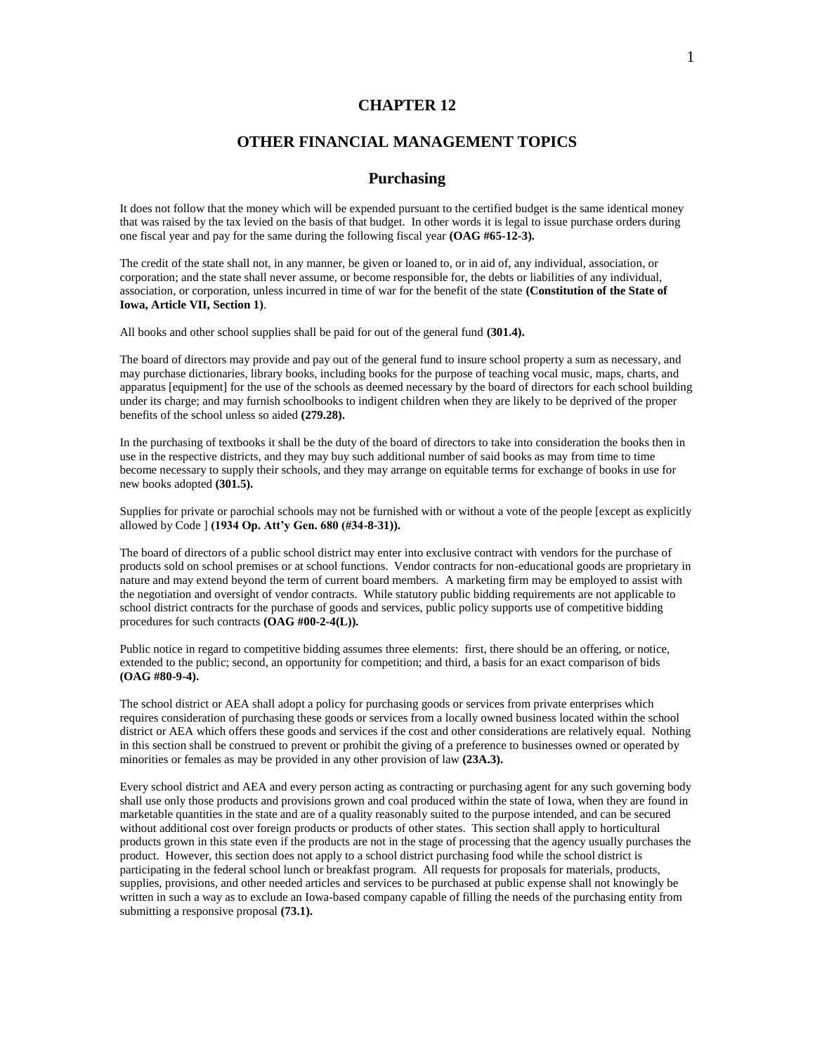# **CHAPTER 12**

# **OTHER FINANCIAL MANAGEMENT TOPICS**

## **Purchasing**

It does not follow that the money which will be expended pursuant to the certified budget is the same identical money that was raised by the tax levied on the basis of that budget. In other words it is legal to issue purchase orders during one fiscal year and pay for the same during the following fiscal year **(OAG #65-12-3).**

The credit of the state shall not, in any manner, be given or loaned to, or in aid of, any individual, association, or corporation; and the state shall never assume, or become responsible for, the debts or liabilities of any individual, association, or corporation, unless incurred in time of war for the benefit of the state **(Constitution of the State of Iowa, Article VII, Section 1)**.

All books and other school supplies shall be paid for out of the general fund **(301.4).**

The board of directors may provide and pay out of the general fund to insure school property a sum as necessary, and may purchase dictionaries, library books, including books for the purpose of teaching vocal music, maps, charts, and apparatus [equipment] for the use of the schools as deemed necessary by the board of directors for each school building under its charge; and may furnish schoolbooks to indigent children when they are likely to be deprived of the proper benefits of the school unless so aided **(279.28).**

In the purchasing of textbooks it shall be the duty of the board of directors to take into consideration the books then in use in the respective districts, and they may buy such additional number of said books as may from time to time become necessary to supply their schools, and they may arrange on equitable terms for exchange of books in use for new books adopted **(301.5).**

Supplies for private or parochial schools may not be furnished with or without a vote of the people [except as explicitly allowed by Code ] **(1934 Op. Att'y Gen. 680 (#34-8-31)).**

The board of directors of a public school district may enter into exclusive contract with vendors for the purchase of products sold on school premises or at school functions. Vendor contracts for non-educational goods are proprietary in nature and may extend beyond the term of current board members. A marketing firm may be employed to assist with the negotiation and oversight of vendor contracts. While statutory public bidding requirements are not applicable to school district contracts for the purchase of goods and services, public policy supports use of competitive bidding procedures for such contracts **(OAG #00-2-4(L)).**

Public notice in regard to competitive bidding assumes three elements: first, there should be an offering, or notice, extended to the public; second, an opportunity for competition; and third, a basis for an exact comparison of bids **(OAG #80-9-4).**

The school district or AEA shall adopt a policy for purchasing goods or services from private enterprises which requires consideration of purchasing these goods or services from a locally owned business located within the school district or AEA which offers these goods and services if the cost and other considerations are relatively equal. Nothing in this section shall be construed to prevent or prohibit the giving of a preference to businesses owned or operated by minorities or females as may be provided in any other provision of law **(23A.3).**

Every school district and AEA and every person acting as contracting or purchasing agent for any such governing body shall use only those products and provisions grown and coal produced within the state of Iowa, when they are found in marketable quantities in the state and are of a quality reasonably suited to the purpose intended, and can be secured without additional cost over foreign products or products of other states. This section shall apply to horticultural products grown in this state even if the products are not in the stage of processing that the agency usually purchases the product. However, this section does not apply to a school district purchasing food while the school district is participating in the federal school lunch or breakfast program. All requests for proposals for materials, products, supplies, provisions, and other needed articles and services to be purchased at public expense shall not knowingly be written in such a way as to exclude an Iowa-based company capable of filling the needs of the purchasing entity from submitting a responsive proposal **(73.1).**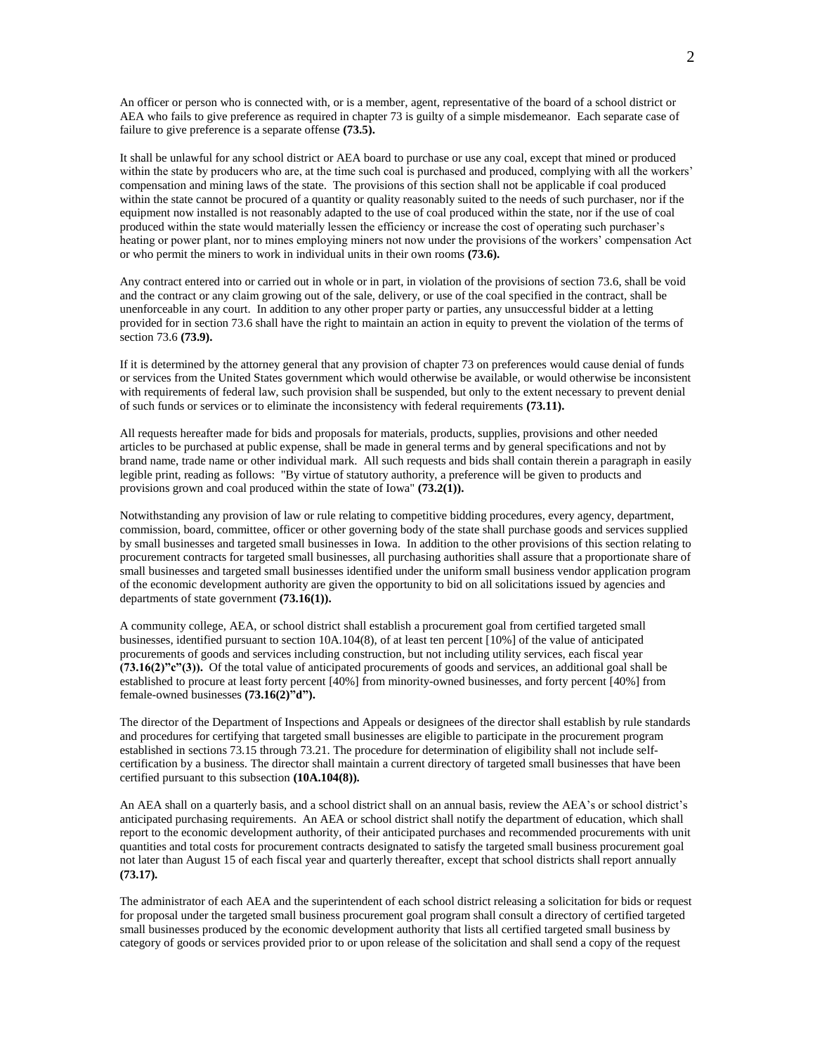An officer or person who is connected with, or is a member, agent, representative of the board of a school district or AEA who fails to give preference as required in chapter 73 is guilty of a simple misdemeanor. Each separate case of failure to give preference is a separate offense **(73.5).**

It shall be unlawful for any school district or AEA board to purchase or use any coal, except that mined or produced within the state by producers who are, at the time such coal is purchased and produced, complying with all the workers' compensation and mining laws of the state. The provisions of this section shall not be applicable if coal produced within the state cannot be procured of a quantity or quality reasonably suited to the needs of such purchaser, nor if the equipment now installed is not reasonably adapted to the use of coal produced within the state, nor if the use of coal produced within the state would materially lessen the efficiency or increase the cost of operating such purchaser's heating or power plant, nor to mines employing miners not now under the provisions of the workers' compensation Act or who permit the miners to work in individual units in their own rooms **(73.6).**

Any contract entered into or carried out in whole or in part, in violation of the provisions of section 73.6, shall be void and the contract or any claim growing out of the sale, delivery, or use of the coal specified in the contract, shall be unenforceable in any court. In addition to any other proper party or parties, any unsuccessful bidder at a letting provided for in section 73.6 shall have the right to maintain an action in equity to prevent the violation of the terms of section 73.6 **(73.9).**

If it is determined by the attorney general that any provision of chapter 73 on preferences would cause denial of funds or services from the United States government which would otherwise be available, or would otherwise be inconsistent with requirements of federal law, such provision shall be suspended, but only to the extent necessary to prevent denial of such funds or services or to eliminate the inconsistency with federal requirements **(73.11).**

All requests hereafter made for bids and proposals for materials, products, supplies, provisions and other needed articles to be purchased at public expense, shall be made in general terms and by general specifications and not by brand name, trade name or other individual mark. All such requests and bids shall contain therein a paragraph in easily legible print, reading as follows: "By virtue of statutory authority, a preference will be given to products and provisions grown and coal produced within the state of Iowa" **(73.2(1)).**

Notwithstanding any provision of law or rule relating to competitive bidding procedures, every agency, department, commission, board, committee, officer or other governing body of the state shall purchase goods and services supplied by small businesses and targeted small businesses in Iowa. In addition to the other provisions of this section relating to procurement contracts for targeted small businesses, all purchasing authorities shall assure that a proportionate share of small businesses and targeted small businesses identified under the uniform small business vendor application program of the economic development authority are given the opportunity to bid on all solicitations issued by agencies and departments of state government **(73.16(1)).**

A community college, AEA, or school district shall establish a procurement goal from certified targeted small businesses, identified pursuant to section 10A.104(8), of at least ten percent [10%] of the value of anticipated procurements of goods and services including construction, but not including utility services, each fiscal year **(73.16(2)"c"(3)).** Of the total value of anticipated procurements of goods and services, an additional goal shall be established to procure at least forty percent [40%] from minority-owned businesses, and forty percent [40%] from female-owned businesses **(73.16(2)"d").**

The director of the Department of Inspections and Appeals or designees of the director shall establish by rule standards and procedures for certifying that targeted small businesses are eligible to participate in the procurement program established in sections 73.15 through 73.21. The procedure for determination of eligibility shall not include selfcertification by a business. The director shall maintain a current directory of targeted small businesses that have been certified pursuant to this subsection **(10A.104(8)).**

An AEA shall on a quarterly basis, and a school district shall on an annual basis, review the AEA's or school district's anticipated purchasing requirements. An AEA or school district shall notify the department of education, which shall report to the economic development authority, of their anticipated purchases and recommended procurements with unit quantities and total costs for procurement contracts designated to satisfy the targeted small business procurement goal not later than August 15 of each fiscal year and quarterly thereafter, except that school districts shall report annually **(73.17).**

The administrator of each AEA and the superintendent of each school district releasing a solicitation for bids or request for proposal under the targeted small business procurement goal program shall consult a directory of certified targeted small businesses produced by the economic development authority that lists all certified targeted small business by category of goods or services provided prior to or upon release of the solicitation and shall send a copy of the request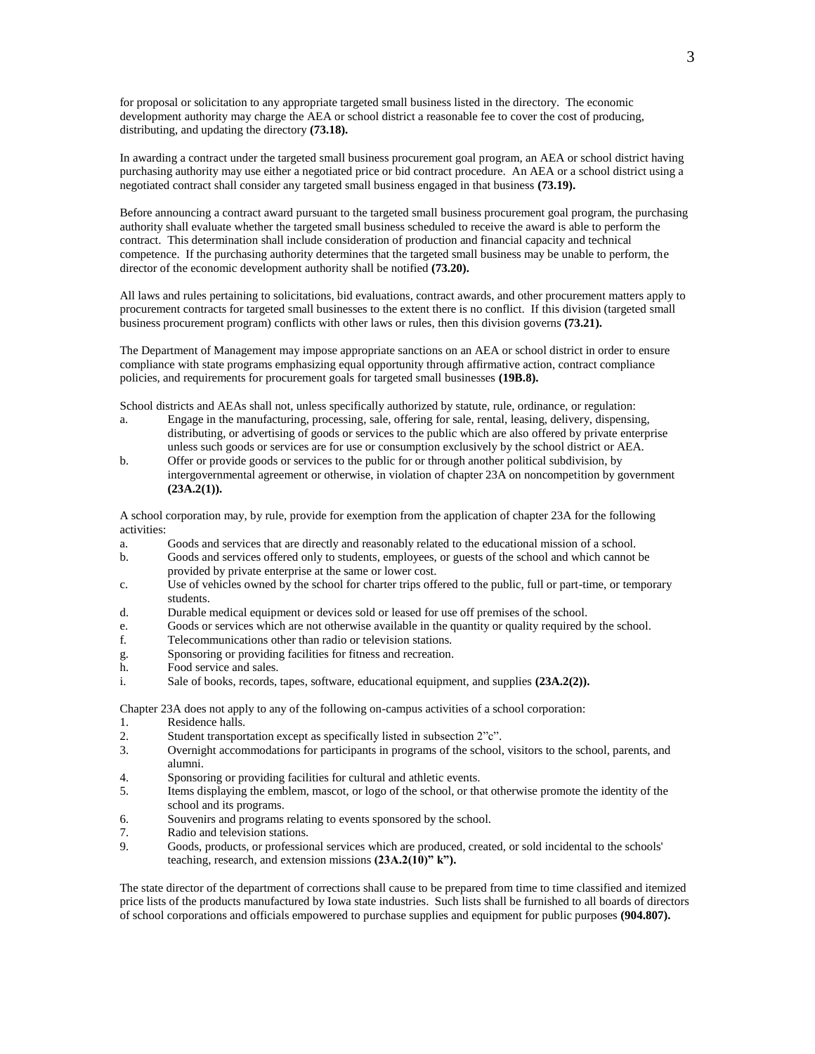for proposal or solicitation to any appropriate targeted small business listed in the directory. The economic development authority may charge the AEA or school district a reasonable fee to cover the cost of producing, distributing, and updating the directory **(73.18).**

In awarding a contract under the targeted small business procurement goal program, an AEA or school district having purchasing authority may use either a negotiated price or bid contract procedure. An AEA or a school district using a negotiated contract shall consider any targeted small business engaged in that business **(73.19).**

Before announcing a contract award pursuant to the targeted small business procurement goal program, the purchasing authority shall evaluate whether the targeted small business scheduled to receive the award is able to perform the contract. This determination shall include consideration of production and financial capacity and technical competence. If the purchasing authority determines that the targeted small business may be unable to perform, the director of the economic development authority shall be notified **(73.20).**

All laws and rules pertaining to solicitations, bid evaluations, contract awards, and other procurement matters apply to procurement contracts for targeted small businesses to the extent there is no conflict. If this division (targeted small business procurement program) conflicts with other laws or rules, then this division governs **(73.21).**

The Department of Management may impose appropriate sanctions on an AEA or school district in order to ensure compliance with state programs emphasizing equal opportunity through affirmative action, contract compliance policies, and requirements for procurement goals for targeted small businesses **(19B.8).**

School districts and AEAs shall not, unless specifically authorized by statute, rule, ordinance, or regulation:

- a. Engage in the manufacturing, processing, sale, offering for sale, rental, leasing, delivery, dispensing, distributing, or advertising of goods or services to the public which are also offered by private enterprise unless such goods or services are for use or consumption exclusively by the school district or AEA.
- b. Offer or provide goods or services to the public for or through another political subdivision, by intergovernmental agreement or otherwise, in violation of chapter 23A on noncompetition by government **(23A.2(1)).**

A school corporation may, by rule, provide for exemption from the application of chapter 23A for the following activities:

- a. Goods and services that are directly and reasonably related to the educational mission of a school.
- b. Goods and services offered only to students, employees, or guests of the school and which cannot be provided by private enterprise at the same or lower cost.
- c. Use of vehicles owned by the school for charter trips offered to the public, full or part-time, or temporary students.
- d. Durable medical equipment or devices sold or leased for use off premises of the school.
- e. Goods or services which are not otherwise available in the quantity or quality required by the school.
- f. Telecommunications other than radio or television stations.
- g. Sponsoring or providing facilities for fitness and recreation.
- h. Food service and sales.
- i. Sale of books, records, tapes, software, educational equipment, and supplies **(23A.2(2)).**

Chapter 23A does not apply to any of the following on-campus activities of a school corporation:

- 1. Residence halls.
- 2. Student transportation except as specifically listed in subsection 2"c".<br>2. Overnight accommodations for participants in programs of the school.
- 3. Overnight accommodations for participants in programs of the school, visitors to the school, parents, and alumni.
- 4. Sponsoring or providing facilities for cultural and athletic events.
- 5. Items displaying the emblem, mascot, or logo of the school, or that otherwise promote the identity of the school and its programs.
- 6. Souvenirs and programs relating to events sponsored by the school.
- 7. Radio and television stations.
- 9. Goods, products, or professional services which are produced, created, or sold incidental to the schools' teaching, research, and extension missions **(23A.2(10)" k").**

The state director of the department of corrections shall cause to be prepared from time to time classified and itemized price lists of the products manufactured by Iowa state industries. Such lists shall be furnished to all boards of directors of school corporations and officials empowered to purchase supplies and equipment for public purposes **(904.807).**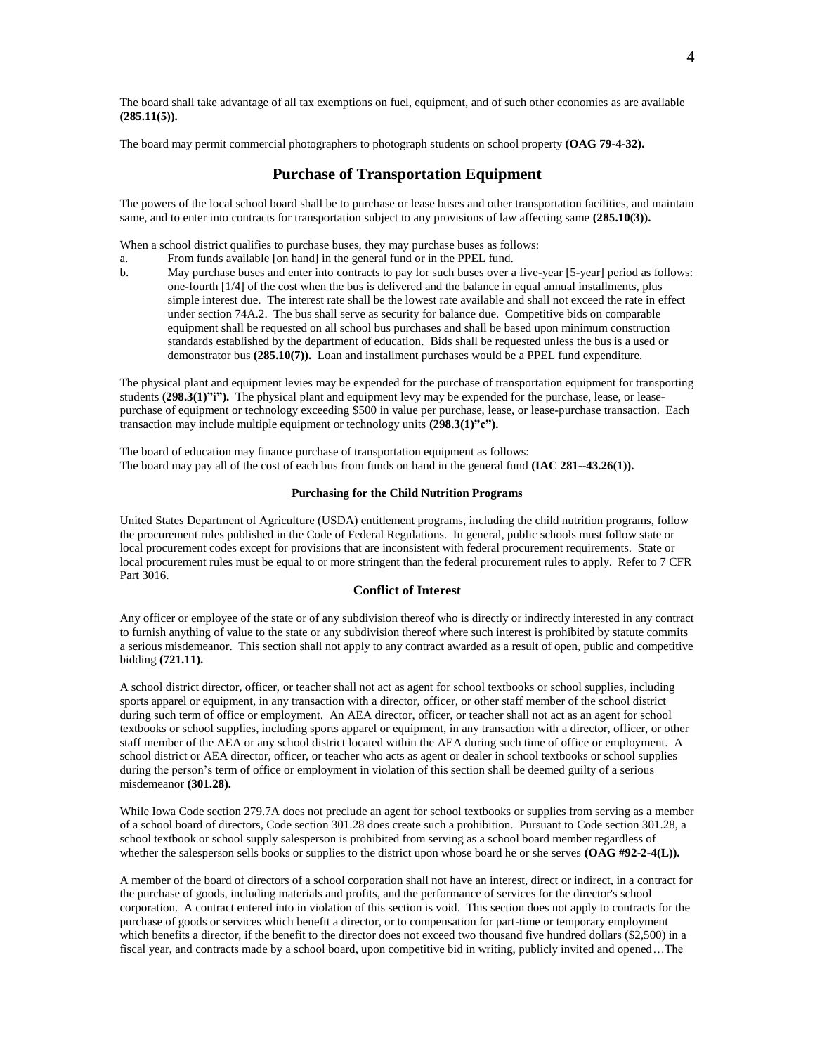The board shall take advantage of all tax exemptions on fuel, equipment, and of such other economies as are available **(285.11(5)).**

The board may permit commercial photographers to photograph students on school property **(OAG 79-4-32).**

# **Purchase of Transportation Equipment**

The powers of the local school board shall be to purchase or lease buses and other transportation facilities, and maintain same, and to enter into contracts for transportation subject to any provisions of law affecting same (285.10(3)).

When a school district qualifies to purchase buses, they may purchase buses as follows:

- a. From funds available [on hand] in the general fund or in the PPEL fund.
- b. May purchase buses and enter into contracts to pay for such buses over a five-year [5-year] period as follows: one-fourth [1/4] of the cost when the bus is delivered and the balance in equal annual installments, plus simple interest due. The interest rate shall be the lowest rate available and shall not exceed the rate in effect under section 74A.2. The bus shall serve as security for balance due. Competitive bids on comparable equipment shall be requested on all school bus purchases and shall be based upon minimum construction standards established by the department of education. Bids shall be requested unless the bus is a used or demonstrator bus **(285.10(7)).** Loan and installment purchases would be a PPEL fund expenditure.

The physical plant and equipment levies may be expended for the purchase of transportation equipment for transporting students **(298.3(1)"i").** The physical plant and equipment levy may be expended for the purchase, lease, or leasepurchase of equipment or technology exceeding \$500 in value per purchase, lease, or lease-purchase transaction. Each transaction may include multiple equipment or technology units **(298.3(1)"c").**

The board of education may finance purchase of transportation equipment as follows: The board may pay all of the cost of each bus from funds on hand in the general fund **(IAC 281--43.26(1)).**

### **Purchasing for the Child Nutrition Programs**

United States Department of Agriculture (USDA) entitlement programs, including the child nutrition programs, follow the procurement rules published in the Code of Federal Regulations. In general, public schools must follow state or local procurement codes except for provisions that are inconsistent with federal procurement requirements. State or local procurement rules must be equal to or more stringent than the federal procurement rules to apply. Refer to 7 CFR Part 3016.

### **Conflict of Interest**

Any officer or employee of the state or of any subdivision thereof who is directly or indirectly interested in any contract to furnish anything of value to the state or any subdivision thereof where such interest is prohibited by statute commits a serious misdemeanor. This section shall not apply to any contract awarded as a result of open, public and competitive bidding **(721.11).**

A school district director, officer, or teacher shall not act as agent for school textbooks or school supplies, including sports apparel or equipment, in any transaction with a director, officer, or other staff member of the school district during such term of office or employment. An AEA director, officer, or teacher shall not act as an agent for school textbooks or school supplies, including sports apparel or equipment, in any transaction with a director, officer, or other staff member of the AEA or any school district located within the AEA during such time of office or employment. A school district or AEA director, officer, or teacher who acts as agent or dealer in school textbooks or school supplies during the person's term of office or employment in violation of this section shall be deemed guilty of a serious misdemeanor **(301.28).**

While Iowa Code section 279.7A does not preclude an agent for school textbooks or supplies from serving as a member of a school board of directors, Code section 301.28 does create such a prohibition. Pursuant to Code section 301.28, a school textbook or school supply salesperson is prohibited from serving as a school board member regardless of whether the salesperson sells books or supplies to the district upon whose board he or she serves **(OAG #92-2-4(L)).** 

A member of the board of directors of a school corporation shall not have an interest, direct or indirect, in a contract for the purchase of goods, including materials and profits, and the performance of services for the director's school corporation. A contract entered into in violation of this section is void. This section does not apply to contracts for the purchase of goods or services which benefit a director, or to compensation for part-time or temporary employment which benefits a director, if the benefit to the director does not exceed two thousand five hundred dollars (\$2,500) in a fiscal year, and contracts made by a school board, upon competitive bid in writing, publicly invited and opened…The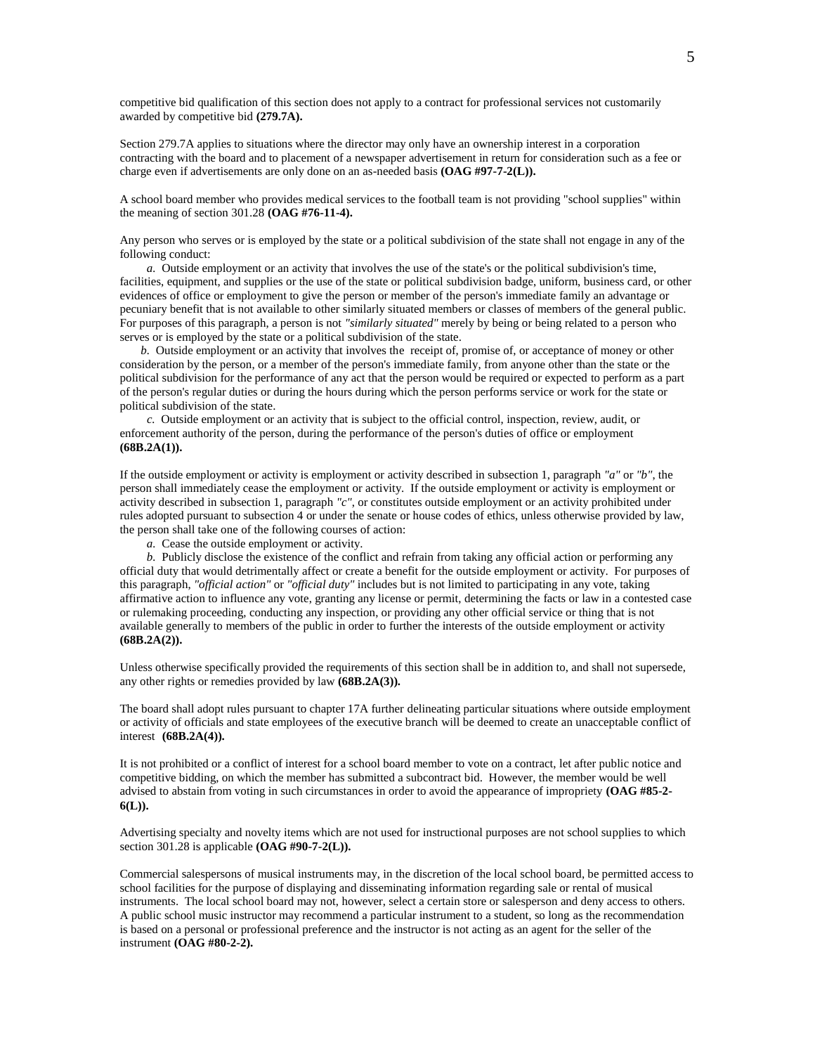competitive bid qualification of this section does not apply to a contract for professional services not customarily awarded by competitive bid **(279.7A).**

Section 279.7A applies to situations where the director may only have an ownership interest in a corporation contracting with the board and to placement of a newspaper advertisement in return for consideration such as a fee or charge even if advertisements are only done on an as-needed basis **(OAG #97-7-2(L)).**

A school board member who provides medical services to the football team is not providing "school supplies" within the meaning of section 301.28 **(OAG #76-11-4).**

Any person who serves or is employed by the state or a political subdivision of the state shall not engage in any of the following conduct:

 *a.* Outside employment or an activity that involves the use of the state's or the political subdivision's time, facilities, equipment, and supplies or the use of the state or political subdivision badge, uniform, business card, or other evidences of office or employment to give the person or member of the person's immediate family an advantage or pecuniary benefit that is not available to other similarly situated members or classes of members of the general public. For purposes of this paragraph, a person is not *"similarly situated"* merely by being or being related to a person who serves or is employed by the state or a political subdivision of the state.

 *b.* Outside employment or an activity that involves the receipt of, promise of, or acceptance of money or other consideration by the person, or a member of the person's immediate family, from anyone other than the state or the political subdivision for the performance of any act that the person would be required or expected to perform as a part of the person's regular duties or during the hours during which the person performs service or work for the state or political subdivision of the state.

 *c.* Outside employment or an activity that is subject to the official control, inspection, review, audit, or enforcement authority of the person, during the performance of the person's duties of office or employment **(68B.2A(1)).**

If the outside employment or activity is employment or activity described in subsection 1, paragraph *"a"* or *"b"*, the person shall immediately cease the employment or activity. If the outside employment or activity is employment or activity described in subsection 1, paragraph *"c"*, or constitutes outside employment or an activity prohibited under rules adopted pursuant to subsection 4 or under the senate or house codes of ethics, unless otherwise provided by law, the person shall take one of the following courses of action:

*a.* Cease the outside employment or activity.

 *b.* Publicly disclose the existence of the conflict and refrain from taking any official action or performing any official duty that would detrimentally affect or create a benefit for the outside employment or activity. For purposes of this paragraph, *"official action"* or *"official duty"* includes but is not limited to participating in any vote, taking affirmative action to influence any vote, granting any license or permit, determining the facts or law in a contested case or rulemaking proceeding, conducting any inspection, or providing any other official service or thing that is not available generally to members of the public in order to further the interests of the outside employment or activity **(68B.2A(2)).**

Unless otherwise specifically provided the requirements of this section shall be in addition to, and shall not supersede, any other rights or remedies provided by law **(68B.2A(3)).**

The board shall adopt rules pursuant to chapter 17A further delineating particular situations where outside employment or activity of officials and state employees of the executive branch will be deemed to create an unacceptable conflict of interest **(68B.2A(4)).**

It is not prohibited or a conflict of interest for a school board member to vote on a contract, let after public notice and competitive bidding, on which the member has submitted a subcontract bid. However, the member would be well advised to abstain from voting in such circumstances in order to avoid the appearance of impropriety **(OAG #85-2- 6(L)).**

Advertising specialty and novelty items which are not used for instructional purposes are not school supplies to which section 301.28 is applicable **(OAG #90-7-2(L)).**

Commercial salespersons of musical instruments may, in the discretion of the local school board, be permitted access to school facilities for the purpose of displaying and disseminating information regarding sale or rental of musical instruments. The local school board may not, however, select a certain store or salesperson and deny access to others. A public school music instructor may recommend a particular instrument to a student, so long as the recommendation is based on a personal or professional preference and the instructor is not acting as an agent for the seller of the instrument **(OAG #80-2-2).**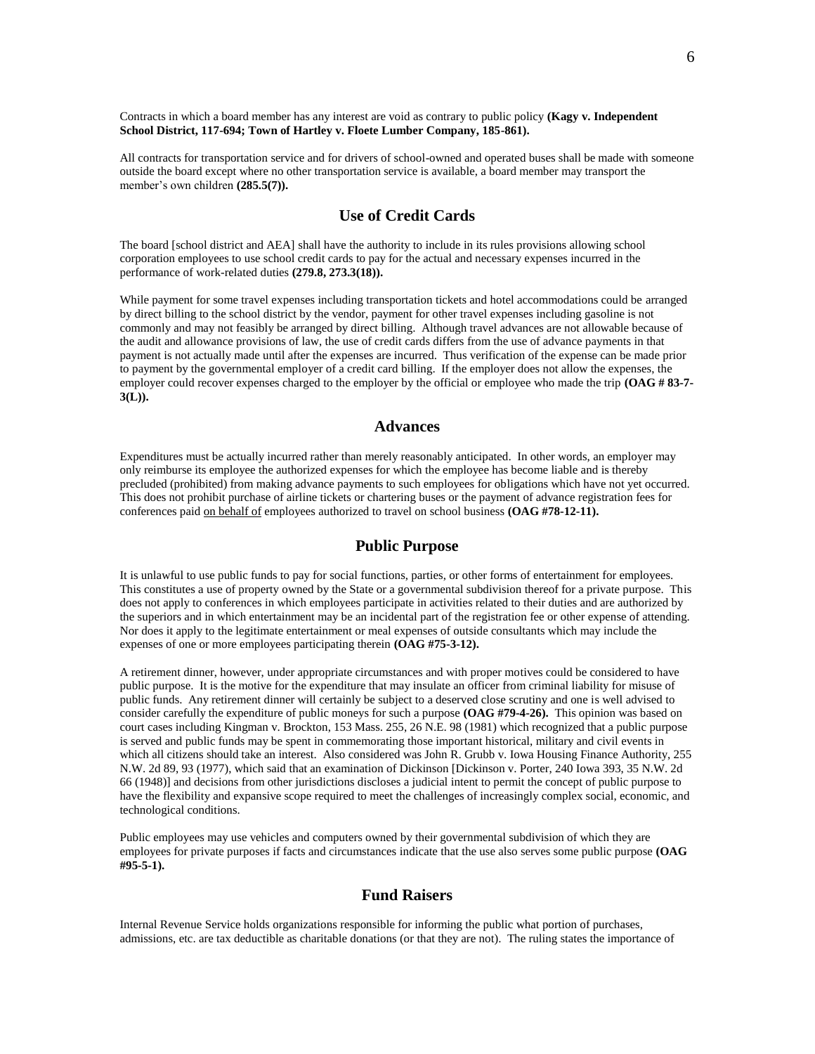Contracts in which a board member has any interest are void as contrary to public policy **(Kagy v. Independent School District, 117-694; Town of Hartley v. Floete Lumber Company, 185-861).**

All contracts for transportation service and for drivers of school-owned and operated buses shall be made with someone outside the board except where no other transportation service is available, a board member may transport the member's own children **(285.5(7)).**

# **Use of Credit Cards**

The board [school district and AEA] shall have the authority to include in its rules provisions allowing school corporation employees to use school credit cards to pay for the actual and necessary expenses incurred in the performance of work-related duties **(279.8, 273.3(18)).**

While payment for some travel expenses including transportation tickets and hotel accommodations could be arranged by direct billing to the school district by the vendor, payment for other travel expenses including gasoline is not commonly and may not feasibly be arranged by direct billing. Although travel advances are not allowable because of the audit and allowance provisions of law, the use of credit cards differs from the use of advance payments in that payment is not actually made until after the expenses are incurred. Thus verification of the expense can be made prior to payment by the governmental employer of a credit card billing. If the employer does not allow the expenses, the employer could recover expenses charged to the employer by the official or employee who made the trip **(OAG # 83-7- 3(L)).**

## **Advances**

Expenditures must be actually incurred rather than merely reasonably anticipated. In other words, an employer may only reimburse its employee the authorized expenses for which the employee has become liable and is thereby precluded (prohibited) from making advance payments to such employees for obligations which have not yet occurred. This does not prohibit purchase of airline tickets or chartering buses or the payment of advance registration fees for conferences paid on behalf of employees authorized to travel on school business **(OAG #78-12-11).**

## **Public Purpose**

It is unlawful to use public funds to pay for social functions, parties, or other forms of entertainment for employees. This constitutes a use of property owned by the State or a governmental subdivision thereof for a private purpose. This does not apply to conferences in which employees participate in activities related to their duties and are authorized by the superiors and in which entertainment may be an incidental part of the registration fee or other expense of attending. Nor does it apply to the legitimate entertainment or meal expenses of outside consultants which may include the expenses of one or more employees participating therein **(OAG #75-3-12).**

A retirement dinner, however, under appropriate circumstances and with proper motives could be considered to have public purpose. It is the motive for the expenditure that may insulate an officer from criminal liability for misuse of public funds. Any retirement dinner will certainly be subject to a deserved close scrutiny and one is well advised to consider carefully the expenditure of public moneys for such a purpose **(OAG #79-4-26).** This opinion was based on court cases including Kingman v. Brockton, 153 Mass. 255, 26 N.E. 98 (1981) which recognized that a public purpose is served and public funds may be spent in commemorating those important historical, military and civil events in which all citizens should take an interest. Also considered was John R. Grubb v. Iowa Housing Finance Authority, 255 N.W. 2d 89, 93 (1977), which said that an examination of Dickinson [Dickinson v. Porter, 240 Iowa 393, 35 N.W. 2d 66 (1948)] and decisions from other jurisdictions discloses a judicial intent to permit the concept of public purpose to have the flexibility and expansive scope required to meet the challenges of increasingly complex social, economic, and technological conditions.

Public employees may use vehicles and computers owned by their governmental subdivision of which they are employees for private purposes if facts and circumstances indicate that the use also serves some public purpose **(OAG #95-5-1).**

## **Fund Raisers**

Internal Revenue Service holds organizations responsible for informing the public what portion of purchases, admissions, etc. are tax deductible as charitable donations (or that they are not). The ruling states the importance of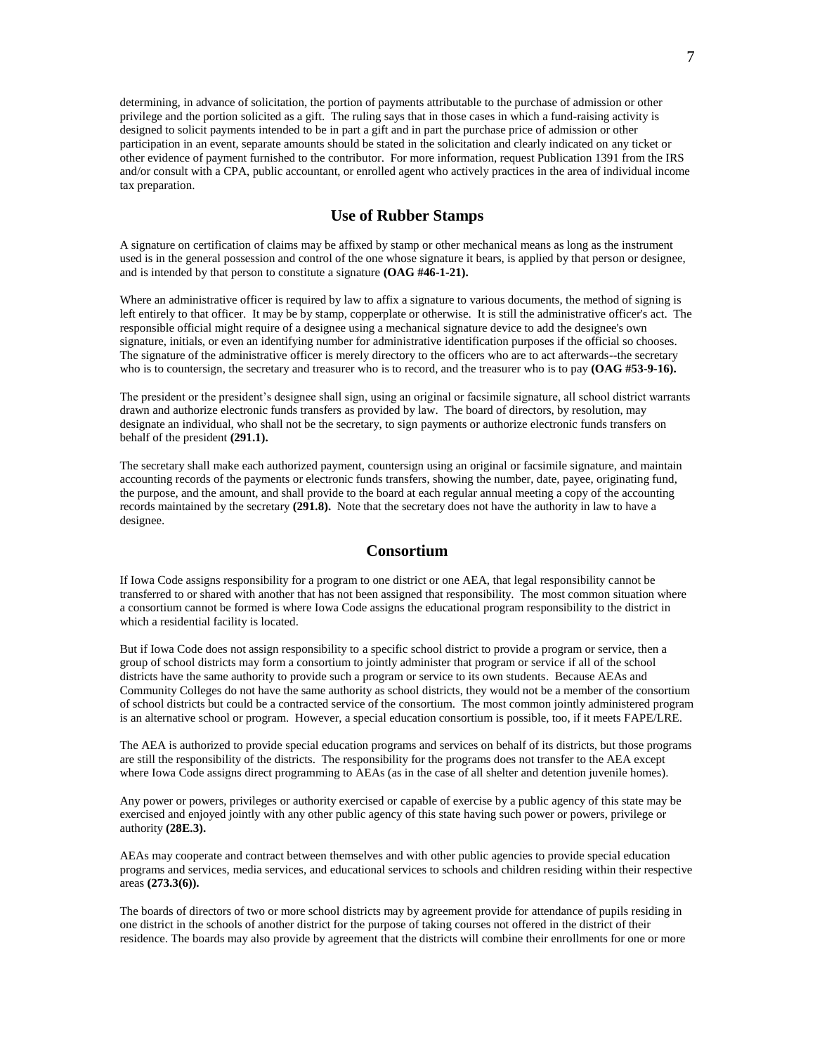determining, in advance of solicitation, the portion of payments attributable to the purchase of admission or other privilege and the portion solicited as a gift. The ruling says that in those cases in which a fund-raising activity is designed to solicit payments intended to be in part a gift and in part the purchase price of admission or other participation in an event, separate amounts should be stated in the solicitation and clearly indicated on any ticket or other evidence of payment furnished to the contributor. For more information, request Publication 1391 from the IRS and/or consult with a CPA, public accountant, or enrolled agent who actively practices in the area of individual income tax preparation.

# **Use of Rubber Stamps**

A signature on certification of claims may be affixed by stamp or other mechanical means as long as the instrument used is in the general possession and control of the one whose signature it bears, is applied by that person or designee, and is intended by that person to constitute a signature **(OAG #46-1-21).**

Where an administrative officer is required by law to affix a signature to various documents, the method of signing is left entirely to that officer. It may be by stamp, copperplate or otherwise. It is still the administrative officer's act. The responsible official might require of a designee using a mechanical signature device to add the designee's own signature, initials, or even an identifying number for administrative identification purposes if the official so chooses. The signature of the administrative officer is merely directory to the officers who are to act afterwards--the secretary who is to countersign, the secretary and treasurer who is to record, and the treasurer who is to pay **(OAG #53-9-16).** 

The president or the president's designee shall sign, using an original or facsimile signature, all school district warrants drawn and authorize electronic funds transfers as provided by law. The board of directors, by resolution, may designate an individual, who shall not be the secretary, to sign payments or authorize electronic funds transfers on behalf of the president **(291.1).**

The secretary shall make each authorized payment, countersign using an original or facsimile signature, and maintain accounting records of the payments or electronic funds transfers, showing the number, date, payee, originating fund, the purpose, and the amount, and shall provide to the board at each regular annual meeting a copy of the accounting records maintained by the secretary **(291.8).** Note that the secretary does not have the authority in law to have a designee.

## **Consortium**

If Iowa Code assigns responsibility for a program to one district or one AEA, that legal responsibility cannot be transferred to or shared with another that has not been assigned that responsibility. The most common situation where a consortium cannot be formed is where Iowa Code assigns the educational program responsibility to the district in which a residential facility is located.

But if Iowa Code does not assign responsibility to a specific school district to provide a program or service, then a group of school districts may form a consortium to jointly administer that program or service if all of the school districts have the same authority to provide such a program or service to its own students. Because AEAs and Community Colleges do not have the same authority as school districts, they would not be a member of the consortium of school districts but could be a contracted service of the consortium. The most common jointly administered program is an alternative school or program. However, a special education consortium is possible, too, if it meets FAPE/LRE.

The AEA is authorized to provide special education programs and services on behalf of its districts, but those programs are still the responsibility of the districts. The responsibility for the programs does not transfer to the AEA except where Iowa Code assigns direct programming to AEAs (as in the case of all shelter and detention juvenile homes).

Any power or powers, privileges or authority exercised or capable of exercise by a public agency of this state may be exercised and enjoyed jointly with any other public agency of this state having such power or powers, privilege or authority **(28E.3).**

AEAs may cooperate and contract between themselves and with other public agencies to provide special education programs and services, media services, and educational services to schools and children residing within their respective areas **(273.3(6)).**

The boards of directors of two or more school districts may by agreement provide for attendance of pupils residing in one district in the schools of another district for the purpose of taking courses not offered in the district of their residence. The boards may also provide by agreement that the districts will combine their enrollments for one or more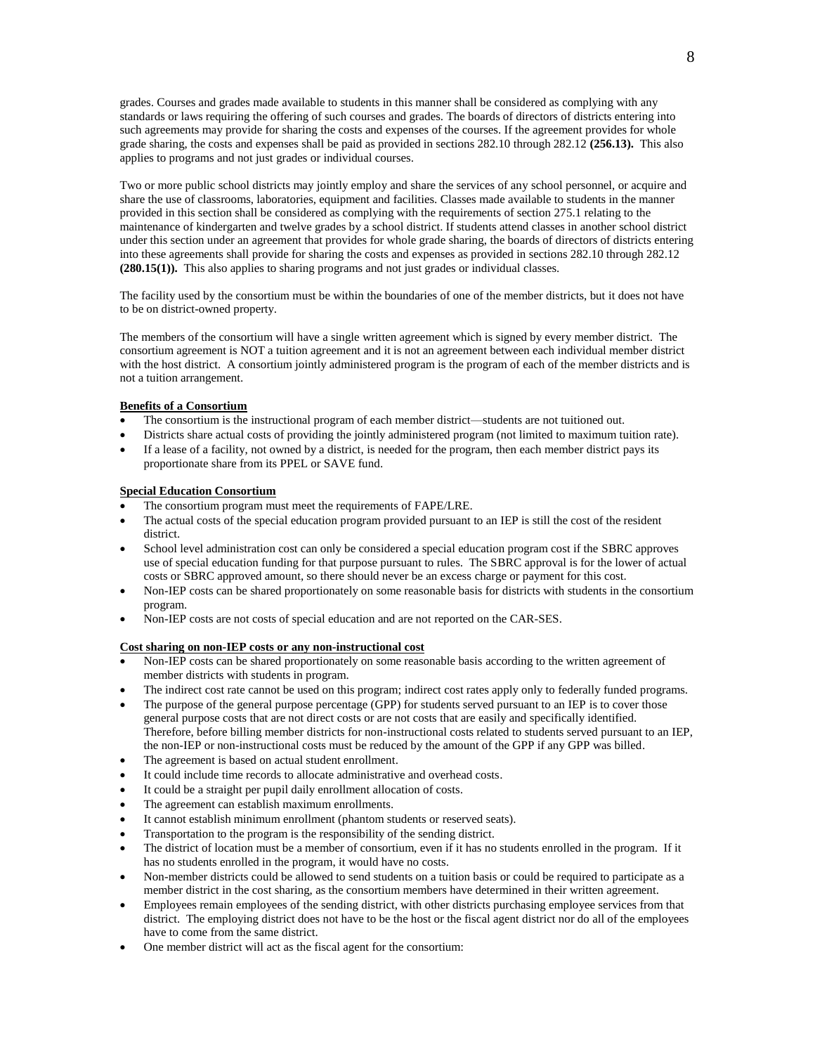grades. Courses and grades made available to students in this manner shall be considered as complying with any standards or laws requiring the offering of such courses and grades. The boards of directors of districts entering into such agreements may provide for sharing the costs and expenses of the courses. If the agreement provides for whole grade sharing, the costs and expenses shall be paid as provided in sections 282.10 through 282.12 **(256.13).** This also applies to programs and not just grades or individual courses.

Two or more public school districts may jointly employ and share the services of any school personnel, or acquire and share the use of classrooms, laboratories, equipment and facilities. Classes made available to students in the manner provided in this section shall be considered as complying with the requirements of section 275.1 relating to the maintenance of kindergarten and twelve grades by a school district. If students attend classes in another school district under this section under an agreement that provides for whole grade sharing, the boards of directors of districts entering into these agreements shall provide for sharing the costs and expenses as provided in sections 282.10 through 282.12 **(280.15(1)).** This also applies to sharing programs and not just grades or individual classes.

The facility used by the consortium must be within the boundaries of one of the member districts, but it does not have to be on district-owned property.

The members of the consortium will have a single written agreement which is signed by every member district. The consortium agreement is NOT a tuition agreement and it is not an agreement between each individual member district with the host district. A consortium jointly administered program is the program of each of the member districts and is not a tuition arrangement.

#### **Benefits of a Consortium**

- The consortium is the instructional program of each member district—students are not tuitioned out.
- Districts share actual costs of providing the jointly administered program (not limited to maximum tuition rate).
- If a lease of a facility, not owned by a district, is needed for the program, then each member district pays its proportionate share from its PPEL or SAVE fund.

## **Special Education Consortium**

- The consortium program must meet the requirements of FAPE/LRE.
- The actual costs of the special education program provided pursuant to an IEP is still the cost of the resident district.
- School level administration cost can only be considered a special education program cost if the SBRC approves use of special education funding for that purpose pursuant to rules. The SBRC approval is for the lower of actual costs or SBRC approved amount, so there should never be an excess charge or payment for this cost.
- Non-IEP costs can be shared proportionately on some reasonable basis for districts with students in the consortium program.
- Non-IEP costs are not costs of special education and are not reported on the CAR-SES.

#### **Cost sharing on non-IEP costs or any non-instructional cost**

- Non-IEP costs can be shared proportionately on some reasonable basis according to the written agreement of member districts with students in program.
- The indirect cost rate cannot be used on this program; indirect cost rates apply only to federally funded programs.
- The purpose of the general purpose percentage (GPP) for students served pursuant to an IEP is to cover those general purpose costs that are not direct costs or are not costs that are easily and specifically identified. Therefore, before billing member districts for non-instructional costs related to students served pursuant to an IEP, the non-IEP or non-instructional costs must be reduced by the amount of the GPP if any GPP was billed.
- The agreement is based on actual student enrollment.
- It could include time records to allocate administrative and overhead costs.
- It could be a straight per pupil daily enrollment allocation of costs.
- The agreement can establish maximum enrollments.
- It cannot establish minimum enrollment (phantom students or reserved seats).
- Transportation to the program is the responsibility of the sending district.
- The district of location must be a member of consortium, even if it has no students enrolled in the program. If it has no students enrolled in the program, it would have no costs.
- Non-member districts could be allowed to send students on a tuition basis or could be required to participate as a member district in the cost sharing, as the consortium members have determined in their written agreement.
- Employees remain employees of the sending district, with other districts purchasing employee services from that district. The employing district does not have to be the host or the fiscal agent district nor do all of the employees have to come from the same district.
- One member district will act as the fiscal agent for the consortium: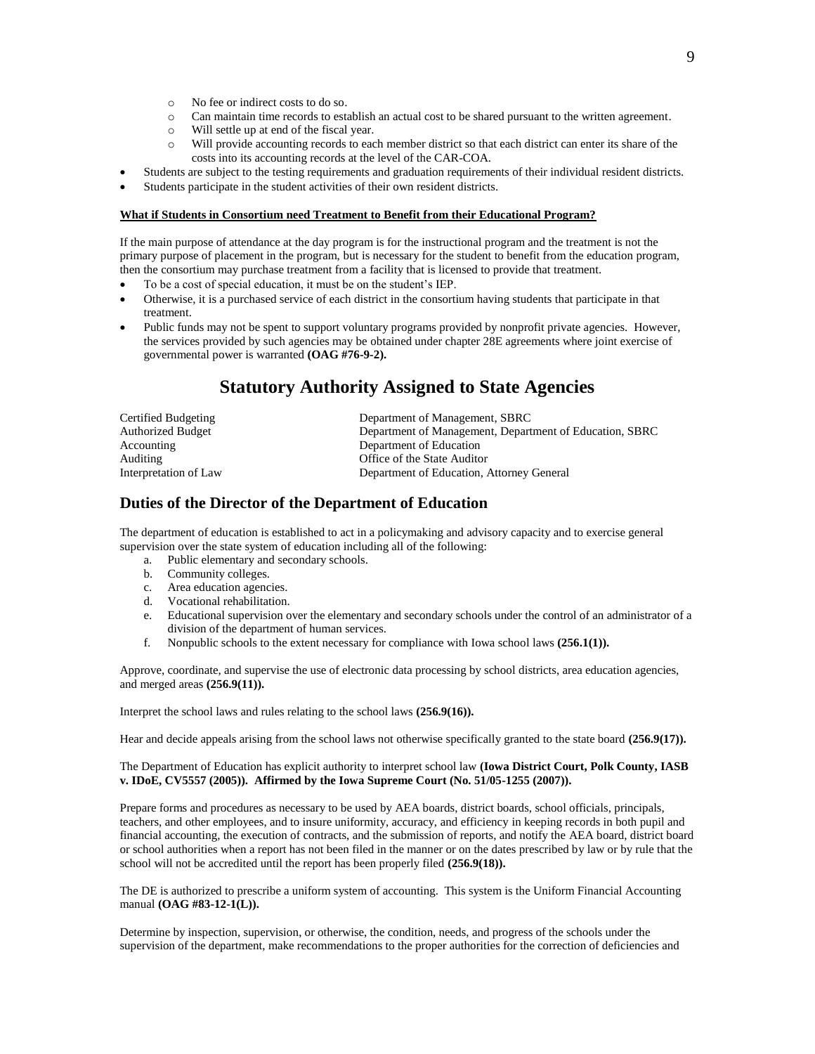- o No fee or indirect costs to do so.
- o Can maintain time records to establish an actual cost to be shared pursuant to the written agreement.
- o Will settle up at end of the fiscal year.
- o Will provide accounting records to each member district so that each district can enter its share of the costs into its accounting records at the level of the CAR-COA.
- Students are subject to the testing requirements and graduation requirements of their individual resident districts.
- Students participate in the student activities of their own resident districts.

### **What if Students in Consortium need Treatment to Benefit from their Educational Program?**

If the main purpose of attendance at the day program is for the instructional program and the treatment is not the primary purpose of placement in the program, but is necessary for the student to benefit from the education program, then the consortium may purchase treatment from a facility that is licensed to provide that treatment.

- To be a cost of special education, it must be on the student's IEP.
- Otherwise, it is a purchased service of each district in the consortium having students that participate in that treatment.
- Public funds may not be spent to support voluntary programs provided by nonprofit private agencies. However, the services provided by such agencies may be obtained under chapter 28E agreements where joint exercise of governmental power is warranted **(OAG #76-9-2).**

# **Statutory Authority Assigned to State Agencies**

| Certified Budgeting   | Department of Management, SBRC                          |
|-----------------------|---------------------------------------------------------|
| Authorized Budget     | Department of Management, Department of Education, SBRC |
| Accounting            | Department of Education                                 |
| Auditing              | Office of the State Auditor                             |
| Interpretation of Law | Department of Education, Attorney General               |
|                       |                                                         |

## **Duties of the Director of the Department of Education**

The department of education is established to act in a policymaking and advisory capacity and to exercise general supervision over the state system of education including all of the following:

- a. Public elementary and secondary schools.
- b. Community colleges.
- c. Area education agencies.
- d. Vocational rehabilitation.
- e. Educational supervision over the elementary and secondary schools under the control of an administrator of a division of the department of human services.
- f. Nonpublic schools to the extent necessary for compliance with Iowa school laws **(256.1(1)).**

Approve, coordinate, and supervise the use of electronic data processing by school districts, area education agencies, and merged areas **(256.9(11)).**

Interpret the school laws and rules relating to the school laws **(256.9(16)).**

Hear and decide appeals arising from the school laws not otherwise specifically granted to the state board **(256.9(17)).**

## The Department of Education has explicit authority to interpret school law **(Iowa District Court, Polk County, IASB v. IDoE, CV5557 (2005)). Affirmed by the Iowa Supreme Court (No. 51/05-1255 (2007)).**

Prepare forms and procedures as necessary to be used by AEA boards, district boards, school officials, principals, teachers, and other employees, and to insure uniformity, accuracy, and efficiency in keeping records in both pupil and financial accounting, the execution of contracts, and the submission of reports, and notify the AEA board, district board or school authorities when a report has not been filed in the manner or on the dates prescribed by law or by rule that the school will not be accredited until the report has been properly filed **(256.9(18)).**

The DE is authorized to prescribe a uniform system of accounting. This system is the Uniform Financial Accounting manual **(OAG #83-12-1(L)).**

Determine by inspection, supervision, or otherwise, the condition, needs, and progress of the schools under the supervision of the department, make recommendations to the proper authorities for the correction of deficiencies and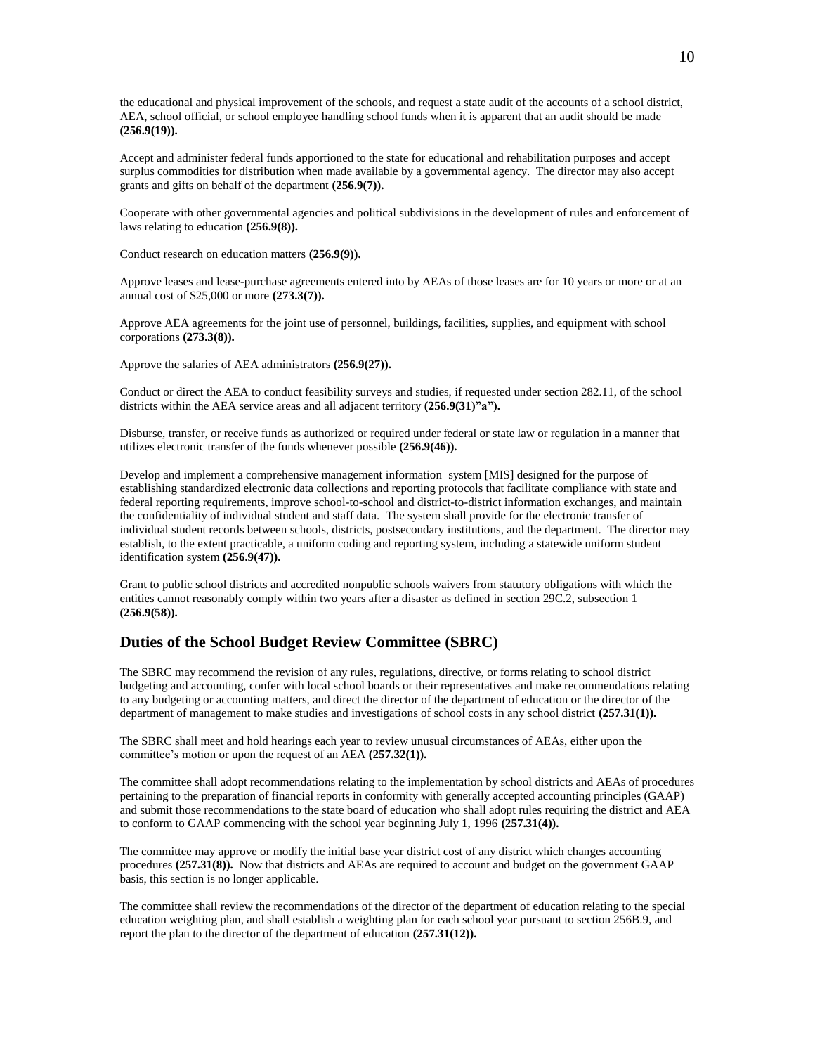the educational and physical improvement of the schools, and request a state audit of the accounts of a school district, AEA, school official, or school employee handling school funds when it is apparent that an audit should be made **(256.9(19)).**

Accept and administer federal funds apportioned to the state for educational and rehabilitation purposes and accept surplus commodities for distribution when made available by a governmental agency. The director may also accept grants and gifts on behalf of the department **(256.9(7)).**

Cooperate with other governmental agencies and political subdivisions in the development of rules and enforcement of laws relating to education **(256.9(8)).**

Conduct research on education matters **(256.9(9)).**

Approve leases and lease-purchase agreements entered into by AEAs of those leases are for 10 years or more or at an annual cost of \$25,000 or more **(273.3(7)).**

Approve AEA agreements for the joint use of personnel, buildings, facilities, supplies, and equipment with school corporations **(273.3(8)).**

Approve the salaries of AEA administrators **(256.9(27)).**

Conduct or direct the AEA to conduct feasibility surveys and studies, if requested under section 282.11, of the school districts within the AEA service areas and all adjacent territory **(256.9(31)"a").**

Disburse, transfer, or receive funds as authorized or required under federal or state law or regulation in a manner that utilizes electronic transfer of the funds whenever possible **(256.9(46)).**

Develop and implement a comprehensive management information system [MIS] designed for the purpose of establishing standardized electronic data collections and reporting protocols that facilitate compliance with state and federal reporting requirements, improve school-to-school and district-to-district information exchanges, and maintain the confidentiality of individual student and staff data. The system shall provide for the electronic transfer of individual student records between schools, districts, postsecondary institutions, and the department. The director may establish, to the extent practicable, a uniform coding and reporting system, including a statewide uniform student identification system **(256.9(47)).**

Grant to public school districts and accredited nonpublic schools waivers from statutory obligations with which the entities cannot reasonably comply within two years after a disaster as defined in section 29C.2, subsection 1 **(256.9(58)).**

## **Duties of the School Budget Review Committee (SBRC)**

The SBRC may recommend the revision of any rules, regulations, directive, or forms relating to school district budgeting and accounting, confer with local school boards or their representatives and make recommendations relating to any budgeting or accounting matters, and direct the director of the department of education or the director of the department of management to make studies and investigations of school costs in any school district **(257.31(1)).**

The SBRC shall meet and hold hearings each year to review unusual circumstances of AEAs, either upon the committee's motion or upon the request of an AEA **(257.32(1)).**

The committee shall adopt recommendations relating to the implementation by school districts and AEAs of procedures pertaining to the preparation of financial reports in conformity with generally accepted accounting principles (GAAP) and submit those recommendations to the state board of education who shall adopt rules requiring the district and AEA to conform to GAAP commencing with the school year beginning July 1, 1996 **(257.31(4)).**

The committee may approve or modify the initial base year district cost of any district which changes accounting procedures **(257.31(8)).** Now that districts and AEAs are required to account and budget on the government GAAP basis, this section is no longer applicable.

The committee shall review the recommendations of the director of the department of education relating to the special education weighting plan, and shall establish a weighting plan for each school year pursuant to section 256B.9, and report the plan to the director of the department of education **(257.31(12)).**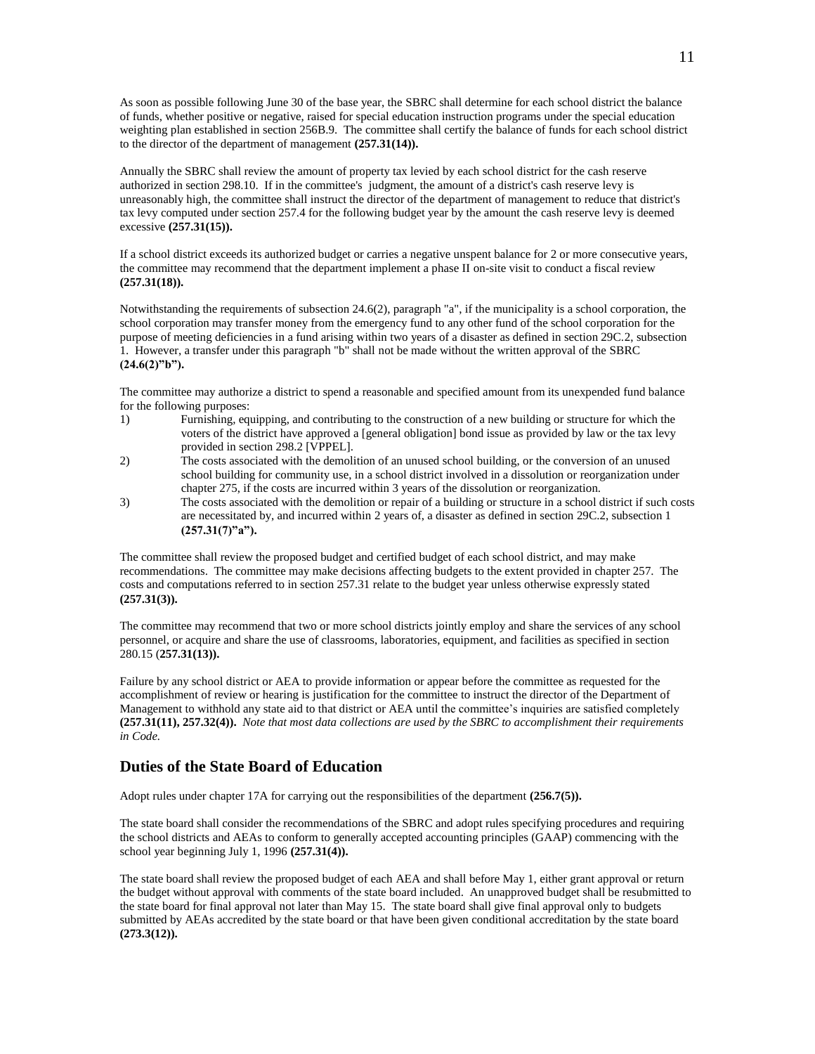As soon as possible following June 30 of the base year, the SBRC shall determine for each school district the balance of funds, whether positive or negative, raised for special education instruction programs under the special education weighting plan established in section 256B.9. The committee shall certify the balance of funds for each school district to the director of the department of management **(257.31(14)).**

Annually the SBRC shall review the amount of property tax levied by each school district for the cash reserve authorized in section 298.10. If in the committee's judgment, the amount of a district's cash reserve levy is unreasonably high, the committee shall instruct the director of the department of management to reduce that district's tax levy computed under section 257.4 for the following budget year by the amount the cash reserve levy is deemed excessive **(257.31(15)).**

If a school district exceeds its authorized budget or carries a negative unspent balance for 2 or more consecutive years, the committee may recommend that the department implement a phase II on-site visit to conduct a fiscal review **(257.31(18)).**

Notwithstanding the requirements of subsection 24.6(2), paragraph "a", if the municipality is a school corporation, the school corporation may transfer money from the emergency fund to any other fund of the school corporation for the purpose of meeting deficiencies in a fund arising within two years of a disaster as defined in section 29C.2, subsection 1. However, a transfer under this paragraph "b" shall not be made without the written approval of the SBRC **(24.6(2)"b").**

The committee may authorize a district to spend a reasonable and specified amount from its unexpended fund balance for the following purposes:

- 1) Furnishing, equipping, and contributing to the construction of a new building or structure for which the voters of the district have approved a [general obligation] bond issue as provided by law or the tax levy provided in section 298.2 [VPPEL].
- 2) The costs associated with the demolition of an unused school building, or the conversion of an unused school building for community use, in a school district involved in a dissolution or reorganization under chapter 275, if the costs are incurred within 3 years of the dissolution or reorganization.
- 3) The costs associated with the demolition or repair of a building or structure in a school district if such costs are necessitated by, and incurred within 2 years of, a disaster as defined in section 29C.2, subsection 1 **(257.31(7)"a").**

The committee shall review the proposed budget and certified budget of each school district, and may make recommendations. The committee may make decisions affecting budgets to the extent provided in chapter 257. The costs and computations referred to in section 257.31 relate to the budget year unless otherwise expressly stated **(257.31(3)).**

The committee may recommend that two or more school districts jointly employ and share the services of any school personnel, or acquire and share the use of classrooms, laboratories, equipment, and facilities as specified in section 280.15 (**257.31(13)).**

Failure by any school district or AEA to provide information or appear before the committee as requested for the accomplishment of review or hearing is justification for the committee to instruct the director of the Department of Management to withhold any state aid to that district or AEA until the committee's inquiries are satisfied completely **(257.31(11), 257.32(4)).** *Note that most data collections are used by the SBRC to accomplishment their requirements in Code.*

# **Duties of the State Board of Education**

Adopt rules under chapter 17A for carrying out the responsibilities of the department **(256.7(5)).**

The state board shall consider the recommendations of the SBRC and adopt rules specifying procedures and requiring the school districts and AEAs to conform to generally accepted accounting principles (GAAP) commencing with the school year beginning July 1, 1996 **(257.31(4)).**

The state board shall review the proposed budget of each AEA and shall before May 1, either grant approval or return the budget without approval with comments of the state board included. An unapproved budget shall be resubmitted to the state board for final approval not later than May 15. The state board shall give final approval only to budgets submitted by AEAs accredited by the state board or that have been given conditional accreditation by the state board **(273.3(12)).**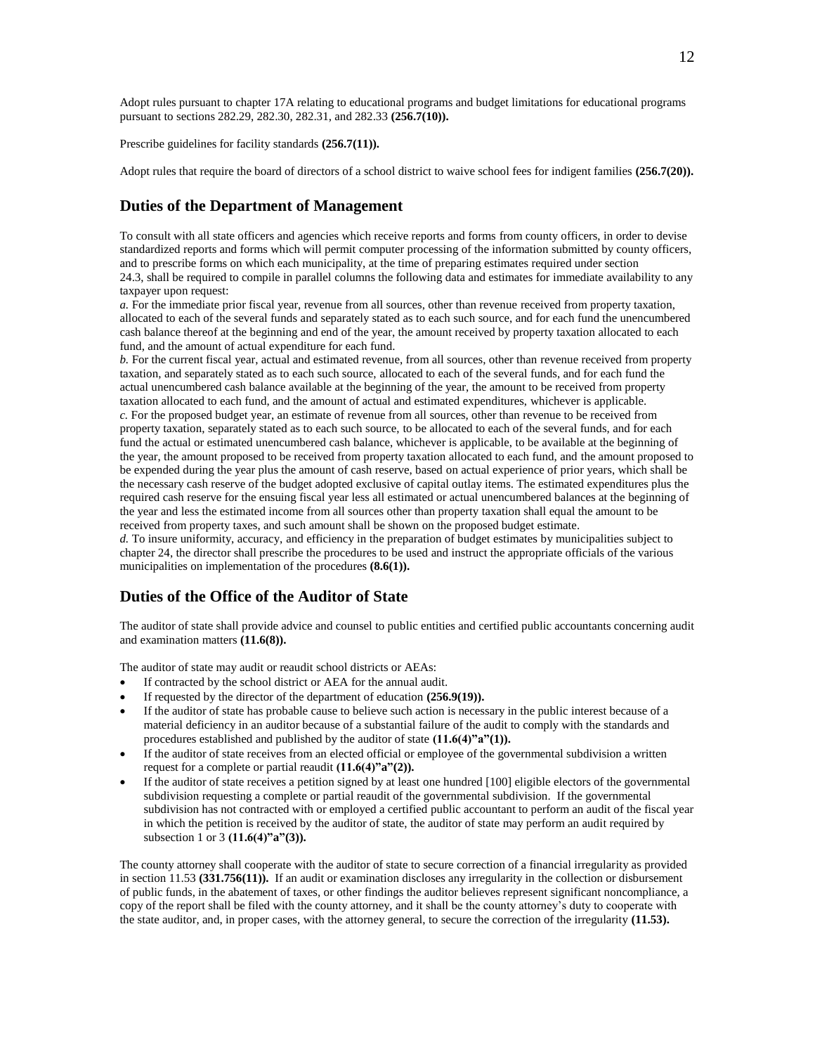Adopt rules pursuant to chapter 17A relating to educational programs and budget limitations for educational programs pursuant to sections 282.29, 282.30, 282.31, and 282.33 **(256.7(10)).**

Prescribe guidelines for facility standards **(256.7(11)).**

Adopt rules that require the board of directors of a school district to waive school fees for indigent families **(256.7(20)).**

## **Duties of the Department of Management**

To consult with all state officers and agencies which receive reports and forms from county officers, in order to devise standardized reports and forms which will permit computer processing of the information submitted by county officers, and to prescribe forms on which each municipality, at the time of preparing estimates required under section 24.3, shall be required to compile in parallel columns the following data and estimates for immediate availability to any taxpayer upon request:

*a.* For the immediate prior fiscal year, revenue from all sources, other than revenue received from property taxation, allocated to each of the several funds and separately stated as to each such source, and for each fund the unencumbered cash balance thereof at the beginning and end of the year, the amount received by property taxation allocated to each fund, and the amount of actual expenditure for each fund.

*b.* For the current fiscal year, actual and estimated revenue, from all sources, other than revenue received from property taxation, and separately stated as to each such source, allocated to each of the several funds, and for each fund the actual unencumbered cash balance available at the beginning of the year, the amount to be received from property taxation allocated to each fund, and the amount of actual and estimated expenditures, whichever is applicable. *c.* For the proposed budget year, an estimate of revenue from all sources, other than revenue to be received from property taxation, separately stated as to each such source, to be allocated to each of the several funds, and for each fund the actual or estimated unencumbered cash balance, whichever is applicable, to be available at the beginning of the year, the amount proposed to be received from property taxation allocated to each fund, and the amount proposed to be expended during the year plus the amount of cash reserve, based on actual experience of prior years, which shall be the necessary cash reserve of the budget adopted exclusive of capital outlay items. The estimated expenditures plus the required cash reserve for the ensuing fiscal year less all estimated or actual unencumbered balances at the beginning of the year and less the estimated income from all sources other than property taxation shall equal the amount to be received from property taxes, and such amount shall be shown on the proposed budget estimate.

*d.* To insure uniformity, accuracy, and efficiency in the preparation of budget estimates by municipalities subject to chapter 24, the director shall prescribe the procedures to be used and instruct the appropriate officials of the various municipalities on implementation of the procedures **(8.6(1)).**

## **Duties of the Office of the Auditor of State**

The auditor of state shall provide advice and counsel to public entities and certified public accountants concerning audit and examination matters **(11.6(8)).**

The auditor of state may audit or reaudit school districts or AEAs:

- If contracted by the school district or AEA for the annual audit.
- If requested by the director of the department of education **(256.9(19)).**
- If the auditor of state has probable cause to believe such action is necessary in the public interest because of a material deficiency in an auditor because of a substantial failure of the audit to comply with the standards and procedures established and published by the auditor of state **(11.6(4)"a"(1)).**
- If the auditor of state receives from an elected official or employee of the governmental subdivision a written request for a complete or partial reaudit **(11.6(4)"a"(2)).**
- If the auditor of state receives a petition signed by at least one hundred [100] eligible electors of the governmental subdivision requesting a complete or partial reaudit of the governmental subdivision. If the governmental subdivision has not contracted with or employed a certified public accountant to perform an audit of the fiscal year in which the petition is received by the auditor of state, the auditor of state may perform an audit required by subsection 1 or 3 **(11.6(4)"a"(3)).**

The county attorney shall cooperate with the auditor of state to secure correction of a financial irregularity as provided in section 11.53 **(331.756(11)).** If an audit or examination discloses any irregularity in the collection or disbursement of public funds, in the abatement of taxes, or other findings the auditor believes represent significant noncompliance, a copy of the report shall be filed with the county attorney, and it shall be the county attorney's duty to cooperate with the state auditor, and, in proper cases, with the attorney general, to secure the correction of the irregularity **(11.53).**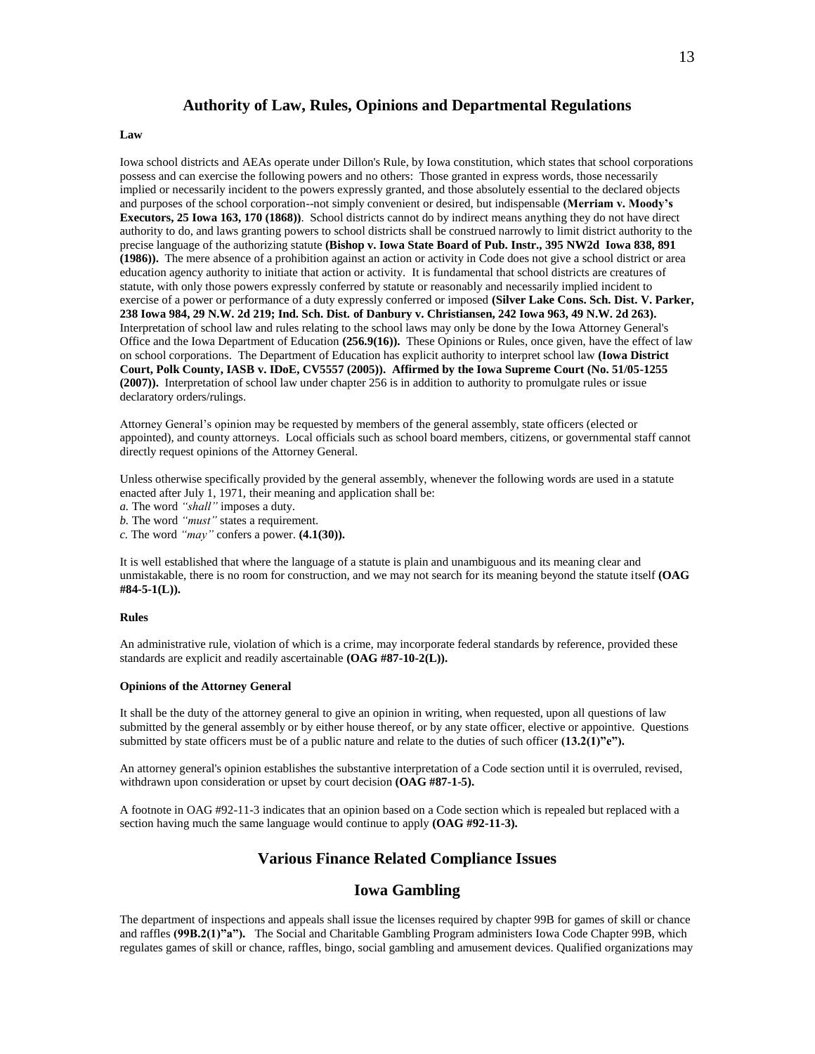## **Authority of Law, Rules, Opinions and Departmental Regulations**

### **Law**

Iowa school districts and AEAs operate under Dillon's Rule, by Iowa constitution, which states that school corporations possess and can exercise the following powers and no others: Those granted in express words, those necessarily implied or necessarily incident to the powers expressly granted, and those absolutely essential to the declared objects and purposes of the school corporation--not simply convenient or desired, but indispensable **(Merriam v. Moody's Executors, 25 Iowa 163, 170 (1868))**. School districts cannot do by indirect means anything they do not have direct authority to do, and laws granting powers to school districts shall be construed narrowly to limit district authority to the precise language of the authorizing statute **(Bishop v. Iowa State Board of Pub. Instr., 395 NW2d Iowa 838, 891 (1986)).** The mere absence of a prohibition against an action or activity in Code does not give a school district or area education agency authority to initiate that action or activity. It is fundamental that school districts are creatures of statute, with only those powers expressly conferred by statute or reasonably and necessarily implied incident to exercise of a power or performance of a duty expressly conferred or imposed **(Silver Lake Cons. Sch. Dist. V. Parker, 238 Iowa 984, 29 N.W. 2d 219; Ind. Sch. Dist. of Danbury v. Christiansen, 242 Iowa 963, 49 N.W. 2d 263).** Interpretation of school law and rules relating to the school laws may only be done by the Iowa Attorney General's Office and the Iowa Department of Education **(256.9(16)).** These Opinions or Rules, once given, have the effect of law on school corporations. The Department of Education has explicit authority to interpret school law **(Iowa District Court, Polk County, IASB v. IDoE, CV5557 (2005)). Affirmed by the Iowa Supreme Court (No. 51/05-1255 (2007)).** Interpretation of school law under chapter 256 is in addition to authority to promulgate rules or issue declaratory orders/rulings.

Attorney General's opinion may be requested by members of the general assembly, state officers (elected or appointed), and county attorneys. Local officials such as school board members, citizens, or governmental staff cannot directly request opinions of the Attorney General.

Unless otherwise specifically provided by the general assembly, whenever the following words are used in a statute enacted after July 1, 1971, their meaning and application shall be:

*a.* The word *"shall"* imposes a duty.

*b.* The word *"must"* states a requirement.

*c.* The word *"may"* confers a power. **(4.1(30)).**

It is well established that where the language of a statute is plain and unambiguous and its meaning clear and unmistakable, there is no room for construction, and we may not search for its meaning beyond the statute itself **(OAG #84-5-1(L)).**

#### **Rules**

An administrative rule, violation of which is a crime, may incorporate federal standards by reference, provided these standards are explicit and readily ascertainable **(OAG #87-10-2(L)).**

#### **Opinions of the Attorney General**

It shall be the duty of the attorney general to give an opinion in writing, when requested, upon all questions of law submitted by the general assembly or by either house thereof, or by any state officer, elective or appointive. Questions submitted by state officers must be of a public nature and relate to the duties of such officer  $(13.2(1)$ "e").

An attorney general's opinion establishes the substantive interpretation of a Code section until it is overruled, revised, withdrawn upon consideration or upset by court decision **(OAG #87-1-5).**

A footnote in OAG #92-11-3 indicates that an opinion based on a Code section which is repealed but replaced with a section having much the same language would continue to apply **(OAG #92-11-3).**

## **Various Finance Related Compliance Issues**

## **Iowa Gambling**

The department of inspections and appeals shall issue the licenses required by chapter 99B for games of skill or chance and raffles **(99B.2(1)"a").** The Social and Charitable Gambling Program administer[s Iowa Code Chapter 99B,](http://www.state.ia.us/government/dia/Chapter%2099B%20amended.pdf) which regulates games of skill or chance, raffles, bingo, social gambling and amusement devices. Qualified organizations may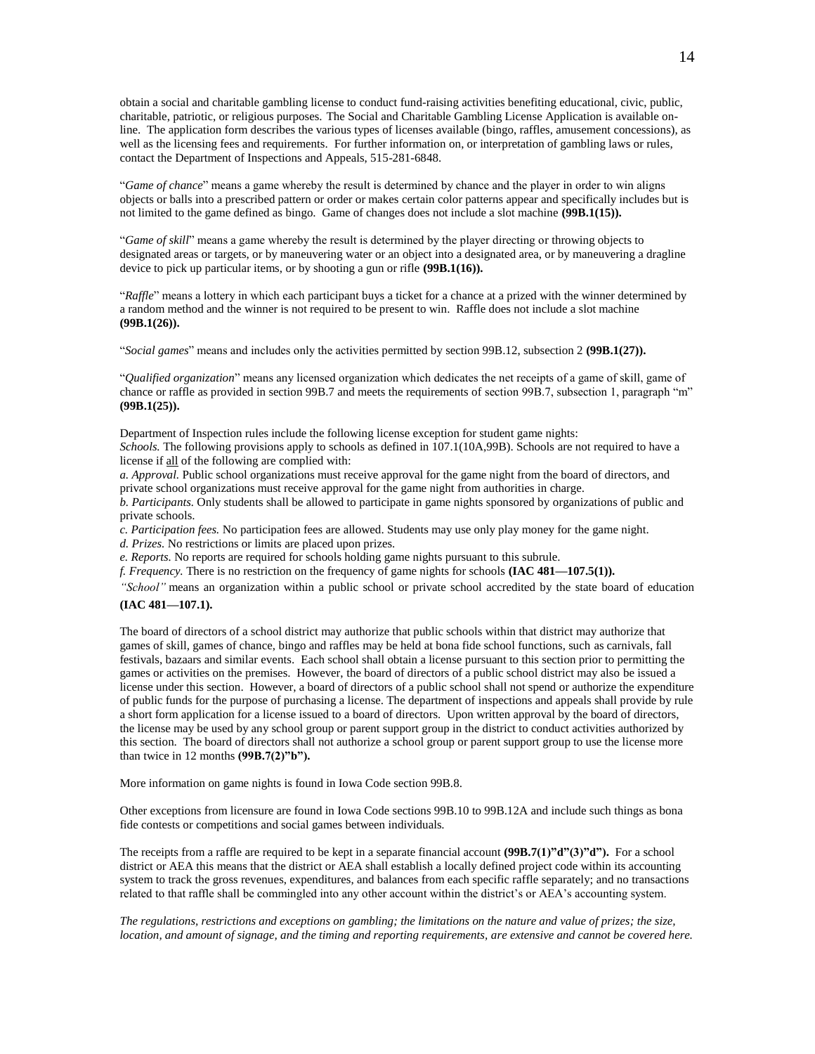obtain a social and charitable gambling license to conduct fund-raising activities benefiting educational, civic, public, charitable, patriotic, or religious purposes. The [Social and Charitable Gambling License Application](http://www.state.ia.us/government/dia/gambling%20license%20application%2006.19.09.pdf) is available online. The application form describes the various types of licenses available (bingo, raffles, amusement concessions), as well as the licensing fees and requirements. For further information on, or interpretation of gambling laws or rules, contact the Department of Inspections and Appeals, 515-281-6848.

"*Game of chance*" means a game whereby the result is determined by chance and the player in order to win aligns objects or balls into a prescribed pattern or order or makes certain color patterns appear and specifically includes but is not limited to the game defined as bingo. Game of changes does not include a slot machine **(99B.1(15)).**

"*Game of skill*" means a game whereby the result is determined by the player directing or throwing objects to designated areas or targets, or by maneuvering water or an object into a designated area, or by maneuvering a dragline device to pick up particular items, or by shooting a gun or rifle **(99B.1(16)).**

"*Raffle*" means a lottery in which each participant buys a ticket for a chance at a prized with the winner determined by a random method and the winner is not required to be present to win. Raffle does not include a slot machine **(99B.1(26)).**

"*Social games*" means and includes only the activities permitted by section 99B.12, subsection 2 **(99B.1(27)).**

"*Qualified organization*" means any licensed organization which dedicates the net receipts of a game of skill, game of chance or raffle as provided in section 99B.7 and meets the requirements of section 99B.7, subsection 1, paragraph "m" **(99B.1(25)).**

Department of Inspection rules include the following license exception for student game nights: *Schools.* The following provisions apply to schools as defined in 107.1(10A,99B). Schools are not required to have a license if all of the following are complied with:

*a. Approval.* Public school organizations must receive approval for the game night from the board of directors, and private school organizations must receive approval for the game night from authorities in charge.

*b. Participants.* Only students shall be allowed to participate in game nights sponsored by organizations of public and private schools.

*c. Participation fees.* No participation fees are allowed. Students may use only play money for the game night.

*d. Prizes.* No restrictions or limits are placed upon prizes.

*e. Reports.* No reports are required for schools holding game nights pursuant to this subrule.

*f. Frequency.* There is no restriction on the frequency of game nights for schools **(IAC 481—107.5(1)).**

*"School"* means an organization within a public school or private school accredited by the state board of education **(IAC 481—107.1).**

The board of directors of a school district may authorize that public schools within that district may authorize that games of skill, games of chance, bingo and raffles may be held at bona fide school functions, such as carnivals, fall festivals, bazaars and similar events. Each school shall obtain a license pursuant to this section prior to permitting the games or activities on the premises. However, the board of directors of a public school district may also be issued a license under this section. However, a board of directors of a public school shall not spend or authorize the expenditure of public funds for the purpose of purchasing a license. The department of inspections and appeals shall provide by rule a short form application for a license issued to a board of directors. Upon written approval by the board of directors, the license may be used by any school group or parent support group in the district to conduct activities authorized by this section. The board of directors shall not authorize a school group or parent support group to use the license more than twice in 12 months **(99B.7(2)"b").**

More information on game nights is found in Iowa Code section 99B.8.

Other exceptions from licensure are found in Iowa Code sections 99B.10 to 99B.12A and include such things as bona fide contests or competitions and social games between individuals.

The receipts from a raffle are required to be kept in a separate financial account **(99B.7(1)"d"(3)"d").** For a school district or AEA this means that the district or AEA shall establish a locally defined project code within its accounting system to track the gross revenues, expenditures, and balances from each specific raffle separately; and no transactions related to that raffle shall be commingled into any other account within the district's or AEA's accounting system.

*The regulations, restrictions and exceptions on gambling; the limitations on the nature and value of prizes; the size, location, and amount of signage, and the timing and reporting requirements, are extensive and cannot be covered here.*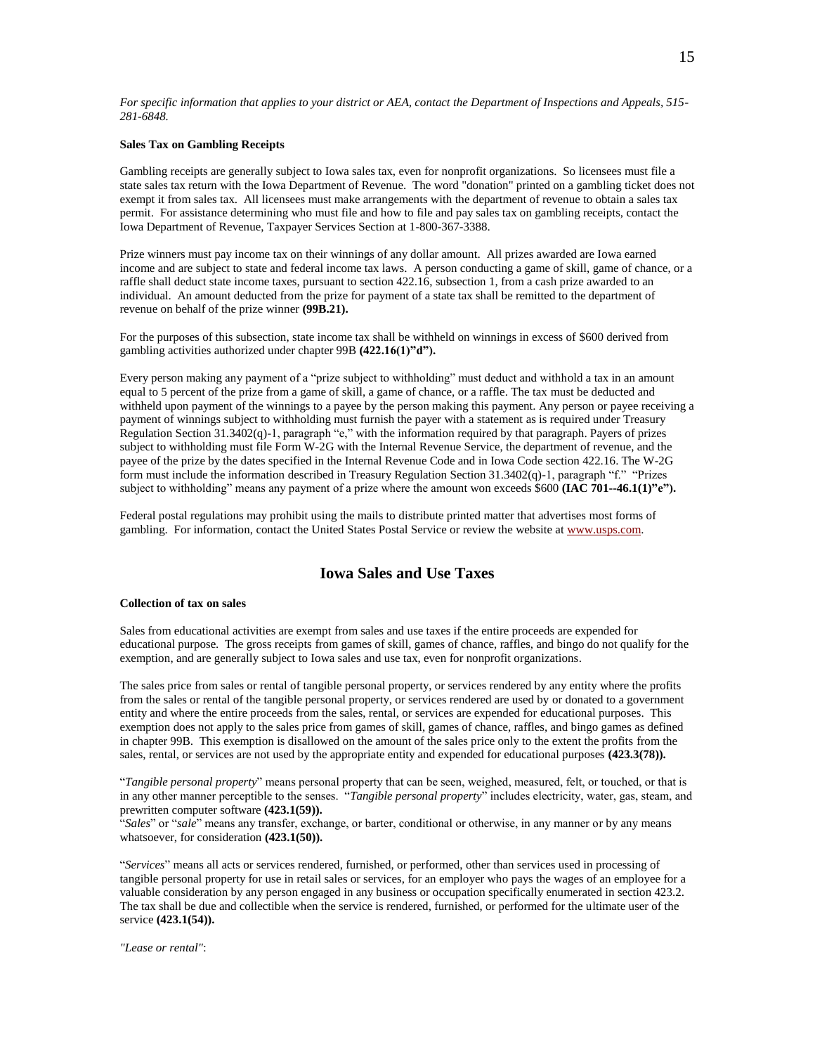*For specific information that applies to your district or AEA, contact the Department of Inspections and Appeals, 515- 281-6848.*

## **Sales Tax on Gambling Receipts**

Gambling receipts are generally subject to Iowa sales tax, even for nonprofit organizations. So licensees must file a state sales tax return with the Iowa Department of Revenue. The word "donation" printed on a gambling ticket does not exempt it from sales tax. All licensees must make arrangements with the department of revenue to obtain a sales tax permit. For assistance determining who must file and how to file and pay sales tax on gambling receipts, contact the Iowa Department of Revenue, Taxpayer Services Section at 1-800-367-3388.

Prize winners must pay income tax on their winnings of any dollar amount. All prizes awarded are Iowa earned income and are subject to state and federal income tax laws. A person conducting a game of skill, game of chance, or a raffle shall deduct state income taxes, pursuant to section 422.16, subsection 1, from a cash prize awarded to an individual. An amount deducted from the prize for payment of a state tax shall be remitted to the department of revenue on behalf of the prize winner **(99B.21).**

For the purposes of this subsection, state income tax shall be withheld on winnings in excess of \$600 derived from gambling activities authorized under chapter 99B **(422.16(1)"d").**

Every person making any payment of a "prize subject to withholding" must deduct and withhold a tax in an amount equal to 5 percent of the prize from a game of skill, a game of chance, or a raffle. The tax must be deducted and withheld upon payment of the winnings to a payee by the person making this payment. Any person or payee receiving a payment of winnings subject to withholding must furnish the payer with a statement as is required under Treasury Regulation Section 31.3402(q)-1, paragraph "e," with the information required by that paragraph. Payers of prizes subject to withholding must file Form W-2G with the Internal Revenue Service, the department of revenue, and the payee of the prize by the dates specified in the Internal Revenue Code and in Iowa Code section 422.16. The W-2G form must include the information described in Treasury Regulation Section 31.3402(q)-1, paragraph "f." "Prizes subject to withholding" means any payment of a prize where the amount won exceeds \$600 **(IAC 701--46.1(1)"e").**

Federal postal regulations may prohibit using the mails to distribute printed matter that advertises most forms of gambling. For information, contact the United States Postal Service or review the website at [www.usps.com.](http://www.usps.com/)

# **Iowa Sales and Use Taxes**

#### **Collection of tax on sales**

Sales from educational activities are exempt from sales and use taxes if the entire proceeds are expended for educational purpose. The gross receipts from games of skill, games of chance, raffles, and bingo do not qualify for the exemption, and are generally subject to Iowa sales and use tax, even for nonprofit organizations.

The sales price from sales or rental of tangible personal property, or services rendered by any entity where the profits from the sales or rental of the tangible personal property, or services rendered are used by or donated to a government entity and where the entire proceeds from the sales, rental, or services are expended for educational purposes. This exemption does not apply to the sales price from games of skill, games of chance, raffles, and bingo games as defined in chapter 99B. This exemption is disallowed on the amount of the sales price only to the extent the profits from the sales, rental, or services are not used by the appropriate entity and expended for educational purposes **(423.3(78)).**

"*Tangible personal property*" means personal property that can be seen, weighed, measured, felt, or touched, or that is in any other manner perceptible to the senses. "*Tangible personal property*" includes electricity, water, gas, steam, and prewritten computer software **(423.1(59)).**

"*Sales*" or "*sale*" means any transfer, exchange, or barter, conditional or otherwise, in any manner or by any means whatsoever, for consideration **(423.1(50)).**

"*Services*" means all acts or services rendered, furnished, or performed, other than services used in processing of tangible personal property for use in retail sales or services, for an employer who pays the wages of an employee for a valuable consideration by any person engaged in any business or occupation specifically enumerated in section 423.2. The tax shall be due and collectible when the service is rendered, furnished, or performed for the ultimate user of the service **(423.1(54)).**

*"Lease or rental"*: